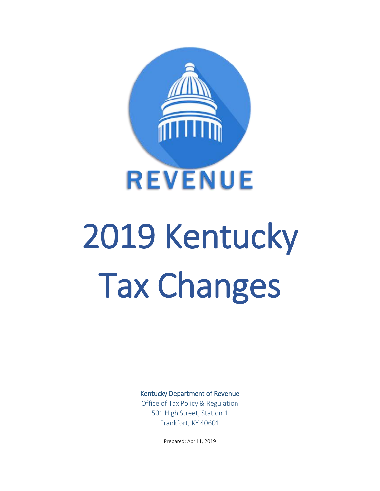

# 2019 Kentucky Tax Changes

Kentucky Department of Revenue

Office of Tax Policy & Regulation 501 High Street, Station 1 Frankfort, KY 40601

Prepared: April 1, 2019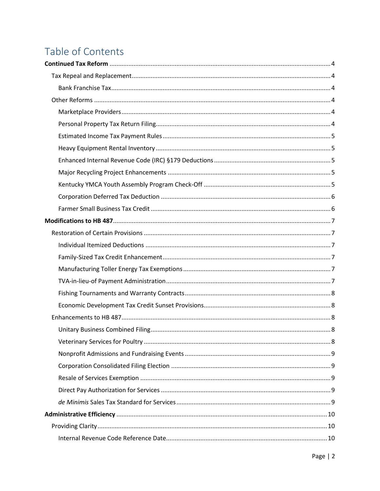# Table of Contents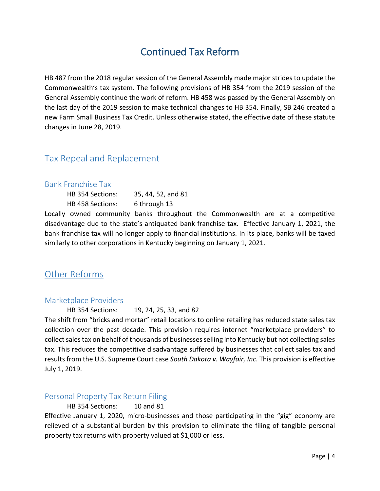# Continued Tax Reform

<span id="page-3-0"></span>HB 487 from the 2018 regular session of the General Assembly made major strides to update the Commonwealth's tax system. The following provisions of HB 354 from the 2019 session of the General Assembly continue the work of reform. HB 458 was passed by the General Assembly on the last day of the 2019 session to make technical changes to HB 354. Finally, SB 246 created a new Farm Small Business Tax Credit. Unless otherwise stated, the effective date of these statute changes in June 28, 2019.

# <span id="page-3-1"></span>Tax Repeal and Replacement

#### <span id="page-3-2"></span>Bank Franchise Tax

| HB 354 Sections: | 35, 44, 52, and 81 |
|------------------|--------------------|
| HB 458 Sections: | 6 through 13       |

Locally owned community banks throughout the Commonwealth are at a competitive disadvantage due to the state's antiquated bank franchise tax. Effective January 1, 2021, the bank franchise tax will no longer apply to financial institutions. In its place, banks will be taxed similarly to other corporations in Kentucky beginning on January 1, 2021.

# <span id="page-3-3"></span>Other Reforms

#### <span id="page-3-4"></span>Marketplace Providers

HB 354 Sections: 19, 24, 25, 33, and 82

The shift from "bricks and mortar" retail locations to online retailing has reduced state sales tax collection over the past decade. This provision requires internet "marketplace providers" to collect sales tax on behalf of thousands of businesses selling into Kentucky but not collecting sales tax. This reduces the competitive disadvantage suffered by businesses that collect sales tax and results from the U.S. Supreme Court case *South Dakota v. Wayfair, Inc*. This provision is effective July 1, 2019.

#### <span id="page-3-5"></span>Personal Property Tax Return Filing

HB 354 Sections: 10 and 81

Effective January 1, 2020, micro-businesses and those participating in the "gig" economy are relieved of a substantial burden by this provision to eliminate the filing of tangible personal property tax returns with property valued at \$1,000 or less.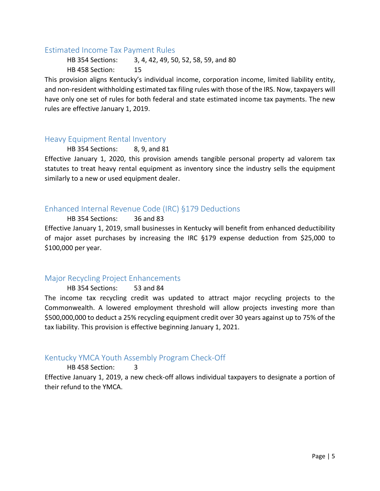#### <span id="page-4-0"></span>Estimated Income Tax Payment Rules

HB 354 Sections: 3, 4, 42, 49, 50, 52, 58, 59, and 80 HB 458 Section: 15

This provision aligns Kentucky's individual income, corporation income, limited liability entity, and non-resident withholding estimated tax filing rules with those of the IRS. Now, taxpayers will have only one set of rules for both federal and state estimated income tax payments. The new rules are effective January 1, 2019.

#### <span id="page-4-1"></span>Heavy Equipment Rental Inventory

HB 354 Sections: 8, 9, and 81

Effective January 1, 2020, this provision amends tangible personal property ad valorem tax statutes to treat heavy rental equipment as inventory since the industry sells the equipment similarly to a new or used equipment dealer.

#### <span id="page-4-2"></span>Enhanced Internal Revenue Code (IRC) §179 Deductions

HB 354 Sections: 36 and 83

Effective January 1, 2019, small businesses in Kentucky will benefit from enhanced deductibility of major asset purchases by increasing the IRC §179 expense deduction from \$25,000 to \$100,000 per year.

#### <span id="page-4-3"></span>Major Recycling Project Enhancements

HB 354 Sections: 53 and 84

The income tax recycling credit was updated to attract major recycling projects to the Commonwealth. A lowered employment threshold will allow projects investing more than \$500,000,000 to deduct a 25% recycling equipment credit over 30 years against up to 75% of the tax liability. This provision is effective beginning January 1, 2021.

#### <span id="page-4-4"></span>Kentucky YMCA Youth Assembly Program Check-Off

HB 458 Section: 3

<span id="page-4-5"></span>Effective January 1, 2019, a new check-off allows individual taxpayers to designate a portion of their refund to the YMCA.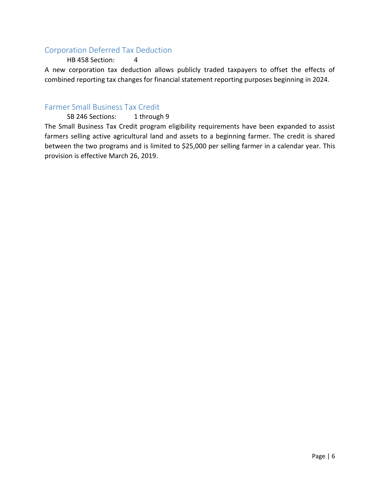### Corporation Deferred Tax Deduction

#### HB 458 Section: 4

A new corporation tax deduction allows publicly traded taxpayers to offset the effects of combined reporting tax changes for financial statement reporting purposes beginning in 2024.

#### <span id="page-5-0"></span>Farmer Small Business Tax Credit

#### SB 246 Sections: 1 through 9

The Small Business Tax Credit program eligibility requirements have been expanded to assist farmers selling active agricultural land and assets to a beginning farmer. The credit is shared between the two programs and is limited to \$25,000 per selling farmer in a calendar year. This provision is effective March 26, 2019.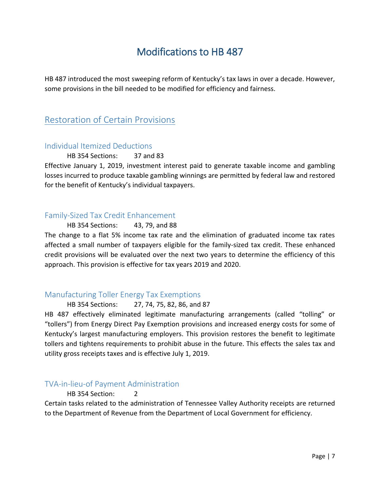# Modifications to HB 487

<span id="page-6-0"></span>HB 487 introduced the most sweeping reform of Kentucky's tax laws in over a decade. However, some provisions in the bill needed to be modified for efficiency and fairness.

# <span id="page-6-1"></span>Restoration of Certain Provisions

#### <span id="page-6-2"></span>Individual Itemized Deductions

#### HB 354 Sections: 37 and 83

Effective January 1, 2019, investment interest paid to generate taxable income and gambling losses incurred to produce taxable gambling winnings are permitted by federal law and restored for the benefit of Kentucky's individual taxpayers.

#### <span id="page-6-3"></span>Family-Sized Tax Credit Enhancement

HB 354 Sections: 43, 79, and 88 The change to a flat 5% income tax rate and the elimination of graduated income tax rates affected a small number of taxpayers eligible for the family-sized tax credit. These enhanced credit provisions will be evaluated over the next two years to determine the efficiency of this approach. This provision is effective for tax years 2019 and 2020.

#### <span id="page-6-4"></span>Manufacturing Toller Energy Tax Exemptions

#### HB 354 Sections: 27, 74, 75, 82, 86, and 87

HB 487 effectively eliminated legitimate manufacturing arrangements (called "tolling" or "tollers") from Energy Direct Pay Exemption provisions and increased energy costs for some of Kentucky's largest manufacturing employers. This provision restores the benefit to legitimate tollers and tightens requirements to prohibit abuse in the future. This effects the sales tax and utility gross receipts taxes and is effective July 1, 2019.

#### <span id="page-6-5"></span>TVA-in-lieu-of Payment Administration

HB 354 Section: 2

Certain tasks related to the administration of Tennessee Valley Authority receipts are returned to the Department of Revenue from the Department of Local Government for efficiency.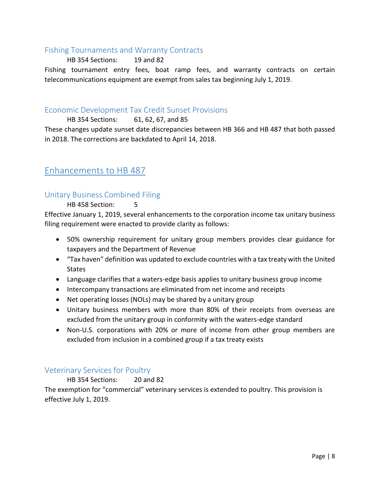#### <span id="page-7-0"></span>Fishing Tournaments and Warranty Contracts

HB 354 Sections: 19 and 82

Fishing tournament entry fees, boat ramp fees, and warranty contracts on certain telecommunications equipment are exempt from sales tax beginning July 1, 2019.

#### <span id="page-7-1"></span>Economic Development Tax Credit Sunset Provisions

HB 354 Sections: 61, 62, 67, and 85

These changes update sunset date discrepancies between HB 366 and HB 487 that both passed in 2018. The corrections are backdated to April 14, 2018.

# <span id="page-7-2"></span>Enhancements to HB 487

#### <span id="page-7-3"></span>Unitary Business Combined Filing

HB 458 Section:

Effective January 1, 2019, several enhancements to the corporation income tax unitary business filing requirement were enacted to provide clarity as follows:

- 50% ownership requirement for unitary group members provides clear guidance for taxpayers and the Department of Revenue
- "Tax haven" definition was updated to exclude countries with a tax treaty with the United States
- Language clarifies that a waters-edge basis applies to unitary business group income
- Intercompany transactions are eliminated from net income and receipts
- Net operating losses (NOLs) may be shared by a unitary group
- Unitary business members with more than 80% of their receipts from overseas are excluded from the unitary group in conformity with the waters-edge standard
- Non-U.S. corporations with 20% or more of income from other group members are excluded from inclusion in a combined group if a tax treaty exists

#### <span id="page-7-4"></span>Veterinary Services for Poultry

HB 354 Sections: 20 and 82 The exemption for "commercial" veterinary services is extended to poultry. This provision is effective July 1, 2019.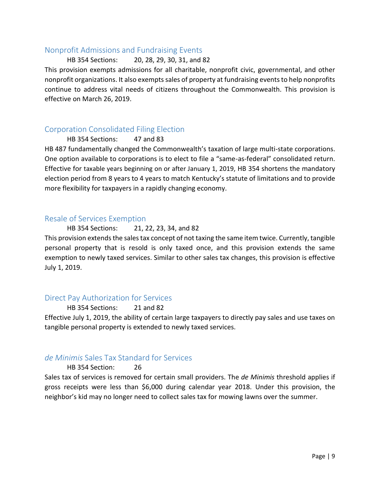#### <span id="page-8-0"></span>Nonprofit Admissions and Fundraising Events

#### HB 354 Sections: 20, 28, 29, 30, 31, and 82

This provision exempts admissions for all charitable, nonprofit civic, governmental, and other nonprofit organizations. It also exempts sales of property at fundraising eventsto help nonprofits continue to address vital needs of citizens throughout the Commonwealth. This provision is effective on March 26, 2019.

#### <span id="page-8-1"></span>Corporation Consolidated Filing Election

HB 354 Sections: 47 and 83

HB 487 fundamentally changed the Commonwealth's taxation of large multi-state corporations. One option available to corporations is to elect to file a "same-as-federal" consolidated return. Effective for taxable years beginning on or after January 1, 2019, HB 354 shortens the mandatory election period from 8 years to 4 years to match Kentucky's statute of limitations and to provide more flexibility for taxpayers in a rapidly changing economy.

#### <span id="page-8-2"></span>Resale of Services Exemption

HB 354 Sections: 21, 22, 23, 34, and 82

This provision extends the sales tax concept of not taxing the same item twice. Currently, tangible personal property that is resold is only taxed once, and this provision extends the same exemption to newly taxed services. Similar to other sales tax changes, this provision is effective July 1, 2019.

#### <span id="page-8-3"></span>Direct Pay Authorization for Services

HB 354 Sections: 21 and 82 Effective July 1, 2019, the ability of certain large taxpayers to directly pay sales and use taxes on tangible personal property is extended to newly taxed services.

#### <span id="page-8-4"></span>*de Minimis* Sales Tax Standard for Services

#### HB 354 Section: 26

Sales tax of services is removed for certain small providers. The *de Minimis* threshold applies if gross receipts were less than \$6,000 during calendar year 2018. Under this provision, the neighbor's kid may no longer need to collect sales tax for mowing lawns over the summer.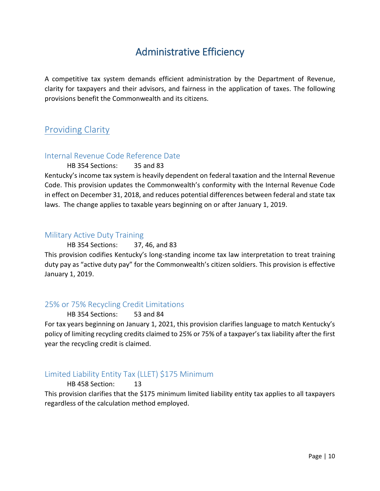# Administrative Efficiency

<span id="page-9-0"></span>A competitive tax system demands efficient administration by the Department of Revenue, clarity for taxpayers and their advisors, and fairness in the application of taxes. The following provisions benefit the Commonwealth and its citizens.

# <span id="page-9-1"></span>Providing Clarity

#### <span id="page-9-2"></span>Internal Revenue Code Reference Date

HB 354 Sections: 35 and 83

Kentucky's income tax system is heavily dependent on federal taxation and the Internal Revenue Code. This provision updates the Commonwealth's conformity with the Internal Revenue Code in effect on December 31, 2018, and reduces potential differences between federal and state tax laws. The change applies to taxable years beginning on or after January 1, 2019.

#### <span id="page-9-3"></span>Military Active Duty Training

#### HB 354 Sections: 37, 46, and 83

This provision codifies Kentucky's long-standing income tax law interpretation to treat training duty pay as "active duty pay" for the Commonwealth's citizen soldiers. This provision is effective January 1, 2019.

#### <span id="page-9-4"></span>25% or 75% Recycling Credit Limitations

HB 354 Sections: 53 and 84

For tax years beginning on January 1, 2021, this provision clarifies language to match Kentucky's policy of limiting recycling credits claimed to 25% or 75% of a taxpayer's tax liability after the first year the recycling credit is claimed.

## <span id="page-9-5"></span>Limited Liability Entity Tax (LLET) \$175 Minimum

HB 458 Section: 13

This provision clarifies that the \$175 minimum limited liability entity tax applies to all taxpayers regardless of the calculation method employed.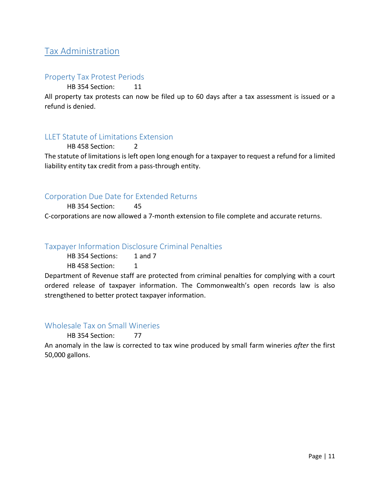# <span id="page-10-0"></span>Tax Administration

#### <span id="page-10-1"></span>Property Tax Protest Periods

HB 354 Section: 11

All property tax protests can now be filed up to 60 days after a tax assessment is issued or a refund is denied.

#### <span id="page-10-2"></span>LLET Statute of Limitations Extension

HB 458 Section: 2 The statute of limitations is left open long enough for a taxpayer to request a refund for a limited liability entity tax credit from a pass-through entity.

#### <span id="page-10-3"></span>Corporation Due Date for Extended Returns

HB 354 Section: 45 C-corporations are now allowed a 7-month extension to file complete and accurate returns.

#### <span id="page-10-4"></span>Taxpayer Information Disclosure Criminal Penalties

HB 354 Sections: 1 and 7

HB 458 Section: 1

Department of Revenue staff are protected from criminal penalties for complying with a court ordered release of taxpayer information. The Commonwealth's open records law is also strengthened to better protect taxpayer information.

#### <span id="page-10-5"></span>Wholesale Tax on Small Wineries

#### HB 354 Section: 77

An anomaly in the law is corrected to tax wine produced by small farm wineries *after* the first 50,000 gallons.